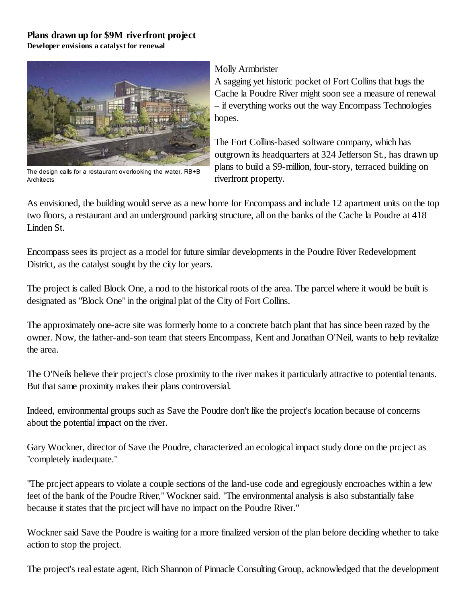## **Plans drawn up for \$9M riverfront project**

**Developer envisions a catalyst for renewal**



The design calls for a restaurant overlooking the water. RB+B **Architects** 

## Molly Armbrister

A sagging yet historic pocket of Fort Collins that hugs the Cache la Poudre River might soon see a measure of renewal – if everything works out the way Encompass Technologies hopes.

The Fort Collins-based software company, which has outgrown its headquarters at 324 Jefferson St., has drawn up plans to build a \$9-million, four-story, terraced building on riverfront property.

As envisioned, the building would serve as a new home for Encompass and include 12 apartment units on the top two floors, a restaurant and an underground parking structure, all on the banks of the Cache la Poudre at 418 Linden St.

Encompass sees its project as a model for future similar developments in the Poudre River Redevelopment District, as the catalyst sought by the city for years.

The project is called Block One, a nod to the historical roots of the area. The parcel where it would be built is designated as "Block One" in the original plat of the City of Fort Collins.

The approximately one-acre site was formerly home to a concrete batch plant that has since been razed by the owner. Now, the father-and-son team that steers Encompass, Kent and Jonathan O'Neil, wants to help revitalize the area.

The O'Neils believe their project's close proximity to the river makes it particularly attractive to potential tenants. But that same proximity makes their plans controversial.

Indeed, environmental groups such as Save the Poudre don't like the project's location because of concerns about the potential impact on the river.

Gary Wockner, director of Save the Poudre, characterized an ecological impact study done on the project as "completely inadequate."

"The project appears to violate a couple sections of the land-use code and egregiously encroaches within a few feet of the bank of the Poudre River," Wockner said. "The environmental analysis is also substantially false because it states that the project will have no impact on the Poudre River."

Wockner said Save the Poudre is waiting for a more finalized version of the plan before deciding whether to take action to stop the project.

The project's real estate agent, Rich Shannon of Pinnacle Consulting Group, acknowledged that the development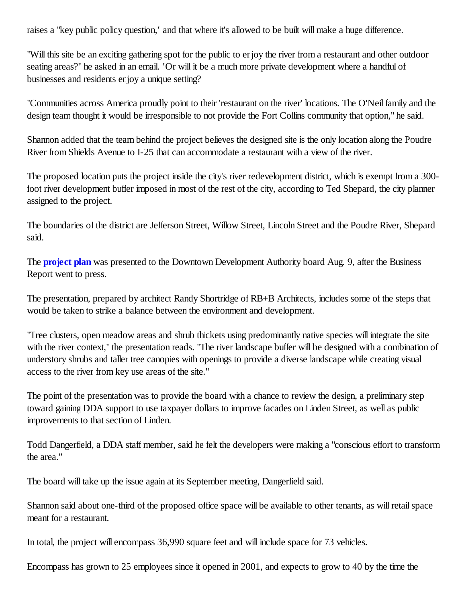raises a "key public policy question," and that where it's allowed to be built will make a huge difference.

"Will this site be an exciting gathering spot for the public to enjoy the river from a restaurant and other outdoor seating areas?" he asked in an email. "Or will it be a much more private development where a handful of businesses and residents enjoy a unique setting?

"Communities across America proudly point to their 'restaurant on the river' locations. The O'Neil family and the design team thought it would be irresponsible to not provide the Fort Collins community that option," he said.

Shannon added that the team behind the project believes the designed site is the only location along the Poudre River from Shields Avenue to I-25 that can accommodate a restaurant with a view of the river.

The proposed location puts the project inside the city's river redevelopment district, which is exempt from a 300 foot river development buffer imposed in most of the rest of the city, according to Ted Shepard, the city planner assigned to the project.

The boundaries of the district are Jefferson Street, Willow Street, Lincoln Street and the Poudre River, Shepard said.

The **project plan** was presented to the Downtown Development Authority board Aug. 9, after the Business Report went to press.

The presentation, prepared by architect Randy Shortridge of RB+B Architects, includes some of the steps that would be taken to strike a balance between the environment and development.

"Tree clusters, open meadow areas and shrub thickets using predominantly native species will integrate the site with the river context," the presentation reads. "The river landscape buffer will be designed with a combination of understory shrubs and taller tree canopies with openings to provide a diverse landscape while creating visual access to the river from key use areas of the site."

The point of the presentation was to provide the board with a chance to review the design, a preliminary step toward gaining DDA support to use taxpayer dollars to improve facades on Linden Street, as well as public improvements to that section of Linden.

Todd Dangerfield, a DDA staff member, said he felt the developers were making a "conscious effort to transform the area."

The board will take up the issue again at its September meeting, Dangerfield said.

Shannon said about one-third of the proposed office space will be available to other tenants, as will retail space meant for a restaurant.

In total, the project will encompass 36,990 square feet and will include space for 73 vehicles.

Encompass has grown to 25 employees since it opened in 2001, and expects to grow to 40 by the time the